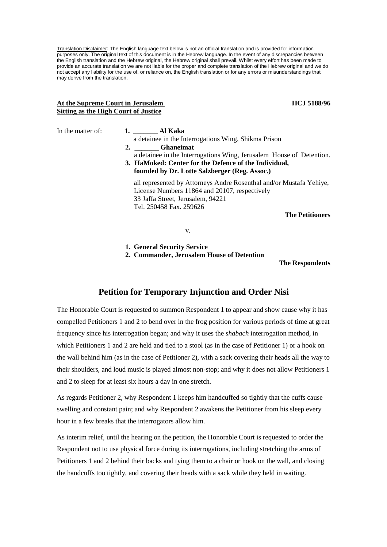Translation Disclaimer: The English language text below is not an official translation and is provided for information purposes only. The original text of this document is in the Hebrew language. In the event of any discrepancies between the English translation and the Hebrew original, the Hebrew original shall prevail. Whilst every effort has been made to provide an accurate translation we are not liable for the proper and complete translation of the Hebrew original and we do not accept any liability for the use of, or reliance on, the English translation or for any errors or misunderstandings that may derive from the translation.

## At the Supreme Court in Jerusalem **HCJ 5188/96 HCJ 5188/96 Sitting as the High Court of Justice**

# In the matter of: **1.** Al Kaka a detainee in the Interrogations Wing, Shikma Prison **2. \_\_\_\_\_\_\_ Ghaneimat** a detainee in the Interrogations Wing, Jerusalem House of Detention. **3. HaMoked: Center for the Defence of the Individual, founded by Dr. Lotte Salzberger (Reg. Assoc.)**  all represented by Attorneys Andre Rosenthal and/or Mustafa Yehiye, License Numbers 11864 and 20107, respectively 33 Jaffa Street, Jerusalem, 94221 Tel. 250458 Fax. 259626 **The Petitioners**

v.

**1. General Security Service** 

**2. Commander, Jerusalem House of Detention** 

**The Respondents** 

# **Petition for Temporary Injunction and Order Nisi**

The Honorable Court is requested to summon Respondent 1 to appear and show cause why it has compelled Petitioners 1 and 2 to bend over in the frog position for various periods of time at great frequency since his interrogation began; and why it uses the *shabach* interrogation method, in which Petitioners 1 and 2 are held and tied to a stool (as in the case of Petitioner 1) or a hook on the wall behind him (as in the case of Petitioner 2), with a sack covering their heads all the way to their shoulders, and loud music is played almost non-stop; and why it does not allow Petitioners 1 and 2 to sleep for at least six hours a day in one stretch.

As regards Petitioner 2, why Respondent 1 keeps him handcuffed so tightly that the cuffs cause swelling and constant pain; and why Respondent 2 awakens the Petitioner from his sleep every hour in a few breaks that the interrogators allow him.

As interim relief, until the hearing on the petition, the Honorable Court is requested to order the Respondent not to use physical force during its interrogations, including stretching the arms of Petitioners 1 and 2 behind their backs and tying them to a chair or hook on the wall, and closing the handcuffs too tightly, and covering their heads with a sack while they held in waiting.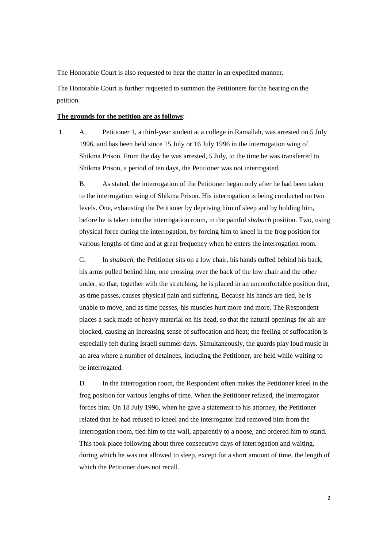The Honorable Court is also requested to hear the matter in an expedited manner.

The Honorable Court is further requested to summon the Petitioners for the hearing on the petition.

### **The grounds for the petition are as follows**:

 1. A. Petitioner 1, a third-year student at a college in Ramallah, was arrested on 5 July 1996, and has been held since 15 July or 16 July 1996 in the interrogation wing of Shikma Prison. From the day he was arrested, 5 July, to the time he was transferred to Shikma Prison, a period of ten days, the Petitioner was not interrogated.

B. As stated, the interrogation of the Petitioner began only after he had been taken to the interrogation wing of Shikma Prison. His interrogation is being conducted on two levels. One, exhausting the Petitioner by depriving him of sleep and by holding him, before he is taken into the interrogation room, in the painful *shabach* position. Two, using physical force during the interrogation, by forcing him to kneel in the frog position for various lengths of time and at great frequency when he enters the interrogation room.

C. In *shabach,* the Petitioner sits on a low chair, his hands cuffed behind his back, his arms pulled behind him, one crossing over the back of the low chair and the other under, so that, together with the stretching, he is placed in an uncomfortable position that, as time passes, causes physical pain and suffering. Because his hands are tied, he is unable to move, and as time passes, his muscles hurt more and more. The Respondent places a sack made of heavy material on his head, so that the natural openings for air are blocked, causing an increasing sense of suffocation and heat; the feeling of suffocation is especially felt during Israeli summer days. Simultaneously, the guards play loud music in an area where a number of detainees, including the Petitioner, are held while waiting to be interrogated.

D. In the interrogation room, the Respondent often makes the Petitioner kneel in the frog position for various lengths of time. When the Petitioner refused, the interrogator forces him. On 18 July 1996, when he gave a statement to his attorney, the Petitioner related that he had refused to kneel and the interrogator had removed him from the interrogation room, tied him to the wall, apparently to a noose, and ordered him to stand. This took place following about three consecutive days of interrogation and waiting, during which he was not allowed to sleep, except for a short amount of time, the length of which the Petitioner does not recall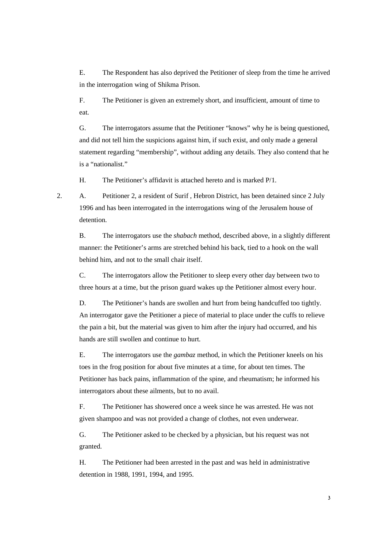E. The Respondent has also deprived the Petitioner of sleep from the time he arrived in the interrogation wing of Shikma Prison.

F. The Petitioner is given an extremely short, and insufficient, amount of time to eat.

G. The interrogators assume that the Petitioner "knows" why he is being questioned, and did not tell him the suspicions against him, if such exist, and only made a general statement regarding "membership", without adding any details. They also contend that he is a "nationalist."

H. The Petitioner's affidavit is attached hereto and is marked P/1.

2. A. Petitioner 2, a resident of Surif , Hebron District, has been detained since 2 July 1996 and has been interrogated in the interrogations wing of the Jerusalem house of detention.

B. The interrogators use the *shabach* method, described above, in a slightly different manner: the Petitioner's arms are stretched behind his back, tied to a hook on the wall behind him, and not to the small chair itself.

C. The interrogators allow the Petitioner to sleep every other day between two to three hours at a time, but the prison guard wakes up the Petitioner almost every hour.

D. The Petitioner's hands are swollen and hurt from being handcuffed too tightly. An interrogator gave the Petitioner a piece of material to place under the cuffs to relieve the pain a bit, but the material was given to him after the injury had occurred, and his hands are still swollen and continue to hurt.

E. The interrogators use the *gambaz* method, in which the Petitioner kneels on his toes in the frog position for about five minutes at a time, for about ten times. The Petitioner has back pains, inflammation of the spine, and rheumatism; he informed his interrogators about these ailments, but to no avail.

F. The Petitioner has showered once a week since he was arrested. He was not given shampoo and was not provided a change of clothes, not even underwear.

G. The Petitioner asked to be checked by a physician, but his request was not granted.

H. The Petitioner had been arrested in the past and was held in administrative detention in 1988, 1991, 1994, and 1995.

3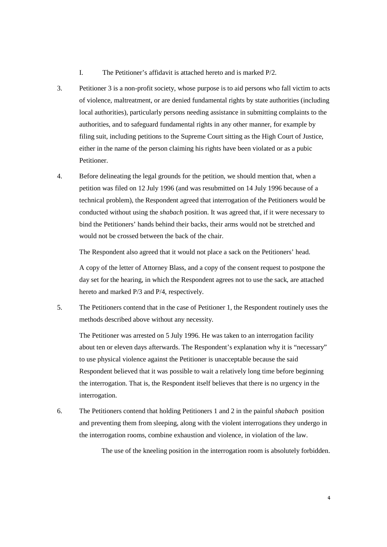- I. The Petitioner's affidavit is attached hereto and is marked P/2.
- 3. Petitioner 3 is a non-profit society, whose purpose is to aid persons who fall victim to acts of violence, maltreatment, or are denied fundamental rights by state authorities (including local authorities), particularly persons needing assistance in submitting complaints to the authorities, and to safeguard fundamental rights in any other manner, for example by filing suit, including petitions to the Supreme Court sitting as the High Court of Justice, either in the name of the person claiming his rights have been violated or as a pubic Petitioner.
- 4. Before delineating the legal grounds for the petition, we should mention that, when a petition was filed on 12 July 1996 (and was resubmitted on 14 July 1996 because of a technical problem), the Respondent agreed that interrogation of the Petitioners would be conducted without using the *shabach* position. It was agreed that, if it were necessary to bind the Petitioners' hands behind their backs, their arms would not be stretched and would not be crossed between the back of the chair.

The Respondent also agreed that it would not place a sack on the Petitioners' head.

A copy of the letter of Attorney Blass, and a copy of the consent request to postpone the day set for the hearing, in which the Respondent agrees not to use the sack, are attached hereto and marked P/3 and P/4, respectively.

5. The Petitioners contend that in the case of Petitioner 1, the Respondent routinely uses the methods described above without any necessity.

The Petitioner was arrested on 5 July 1996. He was taken to an interrogation facility about ten or eleven days afterwards. The Respondent's explanation why it is "necessary" to use physical violence against the Petitioner is unacceptable because the said Respondent believed that it was possible to wait a relatively long time before beginning the interrogation. That is, the Respondent itself believes that there is no urgency in the interrogation.

6. The Petitioners contend that holding Petitioners 1 and 2 in the painful *shabach* position and preventing them from sleeping, along with the violent interrogations they undergo in the interrogation rooms, combine exhaustion and violence, in violation of the law.

The use of the kneeling position in the interrogation room is absolutely forbidden.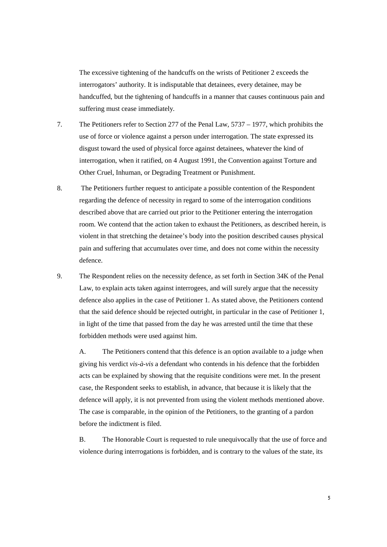The excessive tightening of the handcuffs on the wrists of Petitioner 2 exceeds the interrogators' authority. It is indisputable that detainees, every detainee, may be handcuffed, but the tightening of handcuffs in a manner that causes continuous pain and suffering must cease immediately.

- 7. The Petitioners refer to Section 277 of the Penal Law, 5737 1977, which prohibits the use of force or violence against a person under interrogation. The state expressed its disgust toward the used of physical force against detainees, whatever the kind of interrogation, when it ratified, on 4 August 1991, the Convention against Torture and Other Cruel, Inhuman, or Degrading Treatment or Punishment.
- 8. The Petitioners further request to anticipate a possible contention of the Respondent regarding the defence of necessity in regard to some of the interrogation conditions described above that are carried out prior to the Petitioner entering the interrogation room. We contend that the action taken to exhaust the Petitioners, as described herein, is violent in that stretching the detainee's body into the position described causes physical pain and suffering that accumulates over time, and does not come within the necessity defence.
- 9. The Respondent relies on the necessity defence, as set forth in Section 34K of the Penal Law, to explain acts taken against interrogees, and will surely argue that the necessity defence also applies in the case of Petitioner 1. As stated above, the Petitioners contend that the said defence should be rejected outright, in particular in the case of Petitioner 1, in light of the time that passed from the day he was arrested until the time that these forbidden methods were used against him.

A. The Petitioners contend that this defence is an option available to a judge when giving his verdict *vis-à-vis* a defendant who contends in his defence that the forbidden acts can be explained by showing that the requisite conditions were met. In the present case, the Respondent seeks to establish, in advance, that because it is likely that the defence will apply, it is not prevented from using the violent methods mentioned above. The case is comparable, in the opinion of the Petitioners, to the granting of a pardon before the indictment is filed.

B. The Honorable Court is requested to rule unequivocally that the use of force and violence during interrogations is forbidden, and is contrary to the values of the state, its

5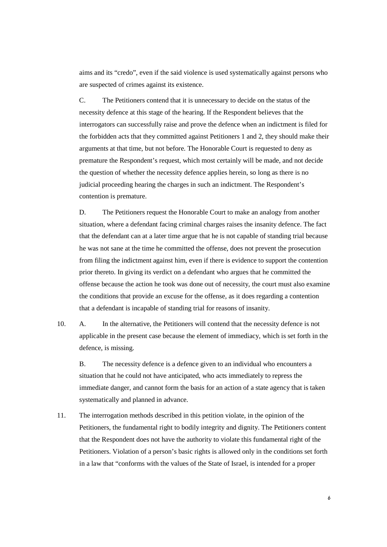aims and its "credo", even if the said violence is used systematically against persons who are suspected of crimes against its existence.

C. The Petitioners contend that it is unnecessary to decide on the status of the necessity defence at this stage of the hearing. If the Respondent believes that the interrogators can successfully raise and prove the defence when an indictment is filed for the forbidden acts that they committed against Petitioners 1 and 2, they should make their arguments at that time, but not before. The Honorable Court is requested to deny as premature the Respondent's request, which most certainly will be made, and not decide the question of whether the necessity defence applies herein, so long as there is no judicial proceeding hearing the charges in such an indictment. The Respondent's contention is premature.

D. The Petitioners request the Honorable Court to make an analogy from another situation, where a defendant facing criminal charges raises the insanity defence. The fact that the defendant can at a later time argue that he is not capable of standing trial because he was not sane at the time he committed the offense, does not prevent the prosecution from filing the indictment against him, even if there is evidence to support the contention prior thereto. In giving its verdict on a defendant who argues that he committed the offense because the action he took was done out of necessity, the court must also examine the conditions that provide an excuse for the offense, as it does regarding a contention that a defendant is incapable of standing trial for reasons of insanity.

10. A. In the alternative, the Petitioners will contend that the necessity defence is not applicable in the present case because the element of immediacy, which is set forth in the defence, is missing.

B. The necessity defence is a defence given to an individual who encounters a situation that he could not have anticipated, who acts immediately to repress the immediate danger, and cannot form the basis for an action of a state agency that is taken systematically and planned in advance.

11. The interrogation methods described in this petition violate, in the opinion of the Petitioners, the fundamental right to bodily integrity and dignity. The Petitioners content that the Respondent does not have the authority to violate this fundamental right of the Petitioners. Violation of a person's basic rights is allowed only in the conditions set forth in a law that "conforms with the values of the State of Israel, is intended for a proper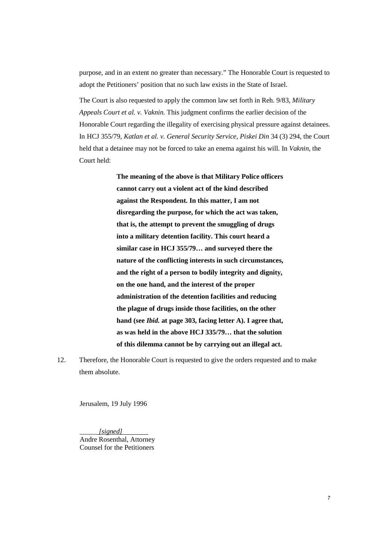purpose, and in an extent no greater than necessary." The Honorable Court is requested to adopt the Petitioners' position that no such law exists in the State of Israel.

The Court is also requested to apply the common law set forth in Reh. 9/83, *Military Appeals Court et al. v. Vaknin.* This judgment confirms the earlier decision of the Honorable Court regarding the illegality of exercising physical pressure against detainees. In HCJ 355/79, *Katlan et al. v. General Security Service, Piskei Din* 34 (3) 294, the Court held that a detainee may not be forced to take an enema against his will. In *Vaknin,* the Court held:

> **The meaning of the above is that Military Police officers cannot carry out a violent act of the kind described against the Respondent. In this matter, I am not disregarding the purpose, for which the act was taken, that is, the attempt to prevent the smuggling of drugs into a military detention facility. This court heard a similar case in HCJ 355/79… and surveyed there the nature of the conflicting interests in such circumstances, and the right of a person to bodily integrity and dignity, on the one hand, and the interest of the proper administration of the detention facilities and reducing the plague of drugs inside those facilities, on the other hand (see** *Ibid.* **at page 303, facing letter A). I agree that, as was held in the above HCJ 335/79… that the solution of this dilemma cannot be by carrying out an illegal act.**

12. Therefore, the Honorable Court is requested to give the orders requested and to make them absolute.

Jerusalem, 19 July 1996

\_\_\_\_\_ *[signed]*  Andre Rosenthal, Attorney Counsel for the Petitioners